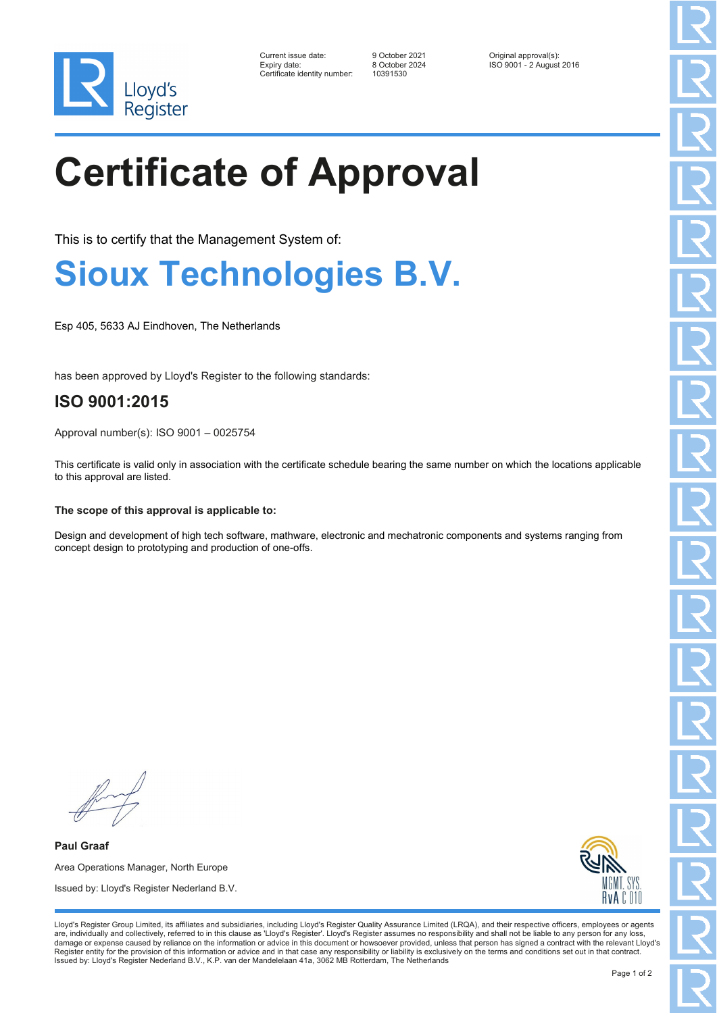

| Current issue date:          | 9 October 2021 | Original approval(s):    |
|------------------------------|----------------|--------------------------|
| Expiry date:                 | 8 October 2024 | ISO 9001 - 2 August 2016 |
| Certificate identity number: | 10391530       |                          |

# **Certificate of Approval**

This is to certify that the Management System of:

## **Sioux Technologies B.V.**

Esp 405, 5633 AJ Eindhoven, The Netherlands

has been approved by Lloyd's Register to the following standards:

### **ISO 9001:2015**

Approval number(s): ISO 9001 – 0025754

This certificate is valid only in association with the certificate schedule bearing the same number on which the locations applicable to this approval are listed.

#### **The scope of this approval is applicable to:**

Design and development of high tech software, mathware, electronic and mechatronic components and systems ranging from concept design to prototyping and production of one-offs.

**Paul Graaf** Area Operations Manager, North Europe Issued by: Lloyd's Register Nederland B.V.



Lloyd's Register Group Limited, its affiliates and subsidiaries, including Lloyd's Register Quality Assurance Limited (LRQA), and their respective officers, employees or agents are, individually and collectively, referred to in this clause as 'Lloyd's Register'. Lloyd's Register assumes no responsibility and shall not be liable to any person for any loss,<br>damage or expense caused by reliance on t Register entity for the provision of this information or advice and in that case any responsibility or liability is exclusively on the terms and conditions set out in that contract. Issued by: Lloyd's Register Nederland B.V., K.P. van der Mandelelaan 41a, 3062 MB Rotterdam, The Netherlands